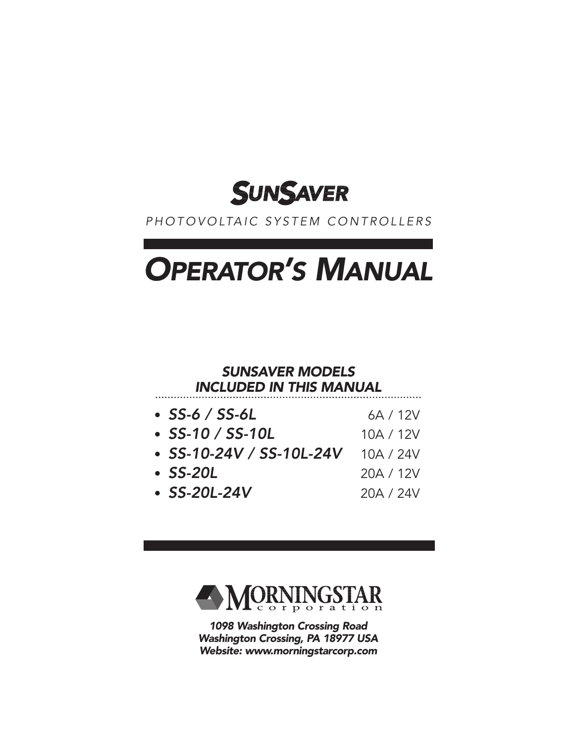

### PHOTOVOLTAIC SYSTEM CONTROLLERS

# OPERATOR'S MANUAL

#### SUNSAVER MODELS INCLUDED IN THIS MANUAL

| $\cdot$ SS-6 / SS-6L           | 6A / 12V  |
|--------------------------------|-----------|
| $\cdot$ SS-10 / SS-10L         | 10A / 12V |
| $\cdot$ SS-10-24V / SS-10L-24V | 10A / 24V |
| $\cdot$ SS-20L                 | 20A / 12V |
| $\cdot$ SS-20L-24V             | 20A / 24V |



1098 Washington Crossing Road Washington Crossing, PA 18977 USA Website: www.morningstarcorp.com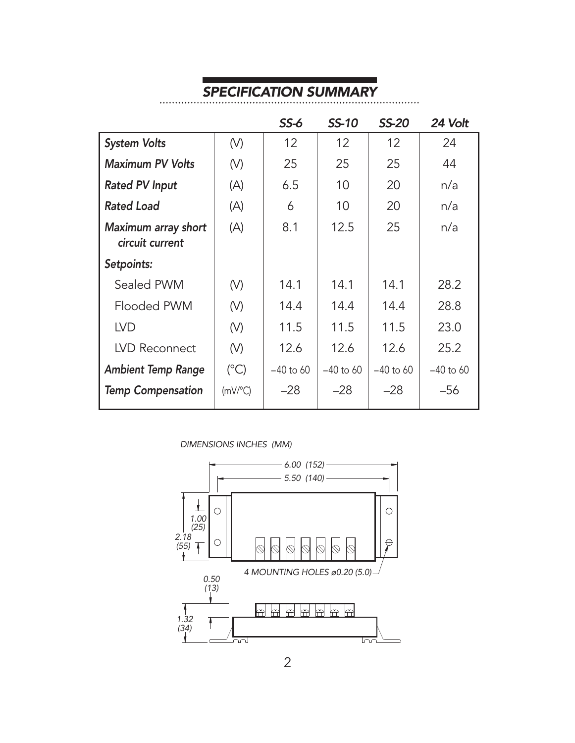# SPECIFICATION SUMMARY

. . . . . . . . . .

. . . . . . . . . . .

|                                        |                 | $SS-6$      | <b>SS-10</b>    | <b>SS-20</b> | 24 Volt     |
|----------------------------------------|-----------------|-------------|-----------------|--------------|-------------|
| <b>System Volts</b>                    | (V)             | 12          | 12 <sup>°</sup> | 12           | 24          |
| <b>Maximum PV Volts</b>                | (V)             | 25          | 25              | 25           | 44          |
| <b>Rated PV Input</b>                  | (A)             | 6.5         | 10              | 20           | n/a         |
| <b>Rated Load</b>                      | (A)             | 6           | 10              | 20           | n/a         |
| Maximum array short<br>circuit current | (A)             | 8.1         | 12.5            | 25           | n/a         |
| Setpoints:                             |                 |             |                 |              |             |
| Sealed PWM                             | (V)             | 14.1        | 14.1            | 14.1         | 28.2        |
| Flooded PWM                            | (V)             | 14.4        | 14.4            | 14.4         | 28.8        |
| <b>LVD</b>                             | (V)             | 11.5        | 11.5            | 11.5         | 23.0        |
| LVD Reconnect                          | (V)             | 12.6        | 12.6            | 12.6         | 25.2        |
| <b>Ambient Temp Range</b>              | $(^{\circ}C)$   | $-40$ to 60 | $-40$ to 60     | $-40$ to 60  | $-40$ to 60 |
| <b>Temp Compensation</b>               | $(mV)^{\circ}C$ | $-28$       | $-28$           | $-28$        | -56         |

DIMENSIONS INCHES (MM)

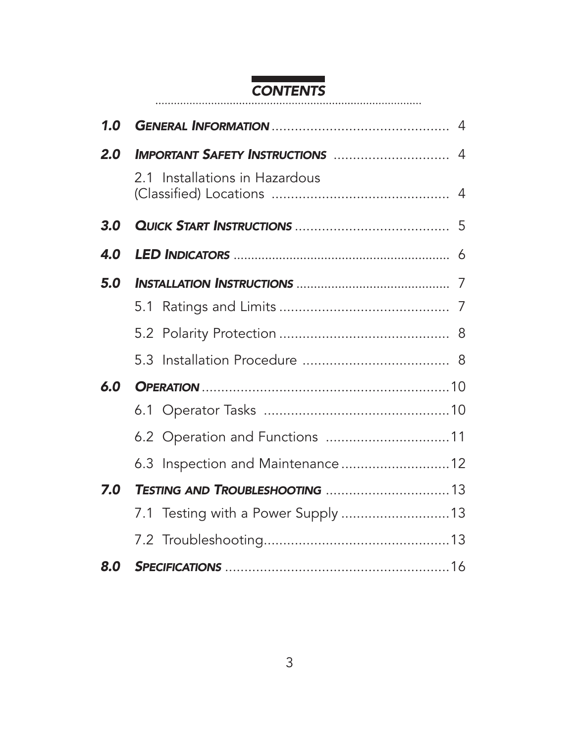#### **CONTENTS**

| 1.0 |                                     |  |
|-----|-------------------------------------|--|
| 2.0 |                                     |  |
|     | 2.1 Installations in Hazardous      |  |
| 3.0 |                                     |  |
| 4.0 |                                     |  |
| 5.0 |                                     |  |
|     |                                     |  |
|     |                                     |  |
|     |                                     |  |
| 6.0 |                                     |  |
|     |                                     |  |
|     | 6.2 Operation and Functions 11      |  |
|     | 6.3 Inspection and Maintenance 12   |  |
| 7.0 |                                     |  |
|     | 7.1 Testing with a Power Supply  13 |  |
|     |                                     |  |
| 8.O |                                     |  |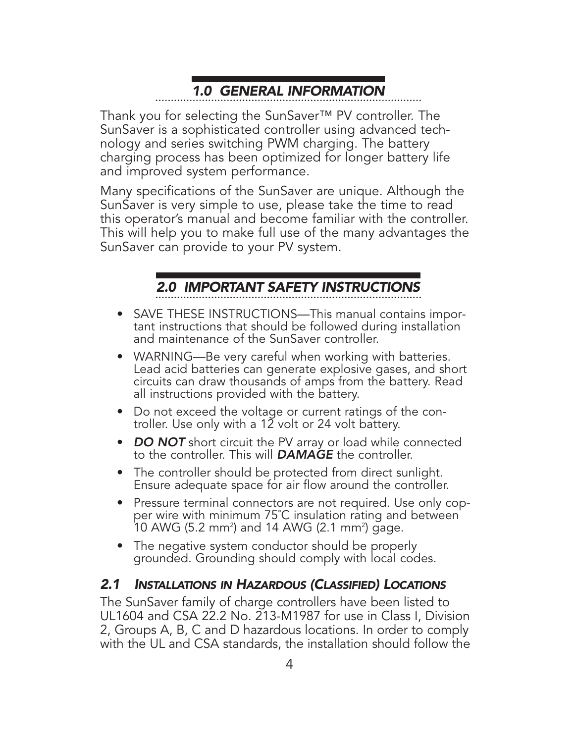# 1.0 GENERAL INFORMATION

Thank you for selecting the SunSaver™ PV controller. The SunSaver is a sophisticated controller using advanced technology and series switching PWM charging. The battery charging process has been optimized for longer battery life and improved system performance.

Many specifications of the SunSaver are unique. Although the SunSaver is very simple to use, please take the time to read this operator's manual and become familiar with the controller. This will help you to make full use of the many advantages the SunSaver can provide to your PV system.

## 2.0 IMPORTANT SAFETY INSTRUCTIONS

- SAVE THESE INSTRUCTIONS—This manual contains important instructions that should be followed during installation and maintenance of the SunSaver controller.
- WARNING—Be very careful when working with batteries. Lead acid batteries can generate explosive gases, and short circuits can draw thousands of amps from the battery. Read all instructions provided with the battery.
- Do not exceed the voltage or current ratings of the controller. Use only with a 12 volt or 24 volt battery.
- DO NOT short circuit the PV array or load while connected to the controller. This will **DAMAGE** the controller.
- The controller should be protected from direct sunlight. Ensure adequate space for air flow around the controller.
- Pressure terminal connectors are not required. Use only copper wire with minimum 75˚C insulation rating and between 10 AWG (5.2 mm<sup>2</sup>) and 14 AWG (2.1 mm<sup>2</sup>) gage.
- The negative system conductor should be properly grounded. Grounding should comply with local codes.

## 2.1 INSTALLATIONS IN HAZARDOUS (CLASSIFIED) LOCATIONS

The SunSaver family of charge controllers have been listed to UL1604 and CSA 22.2 No. 213-M1987 for use in Class I, Division 2, Groups A, B, C and D hazardous locations. In order to comply with the UL and CSA standards, the installation should follow the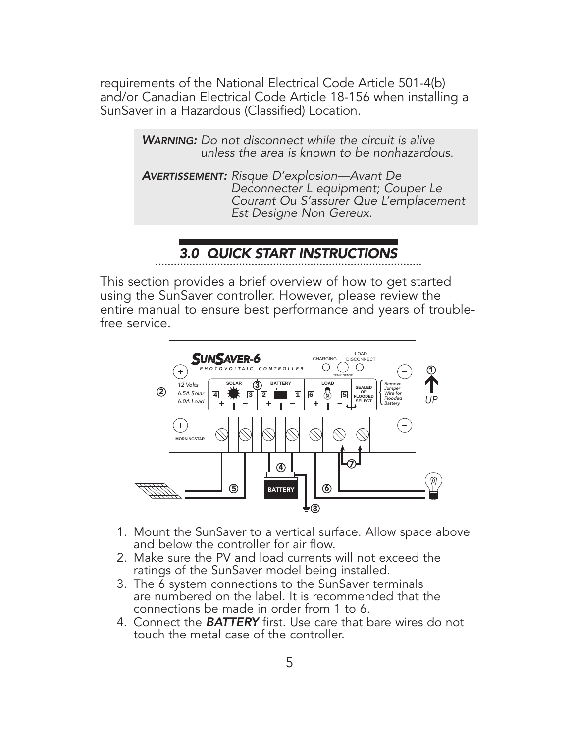requirements of the National Electrical Code Article 501-4(b) and/or Canadian Electrical Code Article 18-156 when installing a SunSaver in a Hazardous (Classified) Location.

> WARNING: Do not disconnect while the circuit is alive unless the area is known to be nonhazardous.

<sup>A</sup>VERTISSEMENT: Risque D'explosion—Avant De Deconnecter L equipment; Couper Le Courant Ou S'assurer Que L'emplacement<br>Est Designe Non Gereux.

## 3.0 QUICK START INSTRUCTIONS

This section provides a brief overview of how to get started using the SunSaver controller. However, please review the entire manual to ensure best performance and years of troublefree service.



- 1. Mount the SunSaver to a vertical surface. Allow space above and below the controller for air flow.
- 2. Make sure the PV and load currents will not exceed the ratings of the SunSaver model being installed.
- 3. The 6 system connections to the SunSaver terminals are numbered on the label. It is recommended that the connections be made in order from 1 to 6.
- 4. Connect the **BATTERY** first. Use care that bare wires do not touch the metal case of the controller.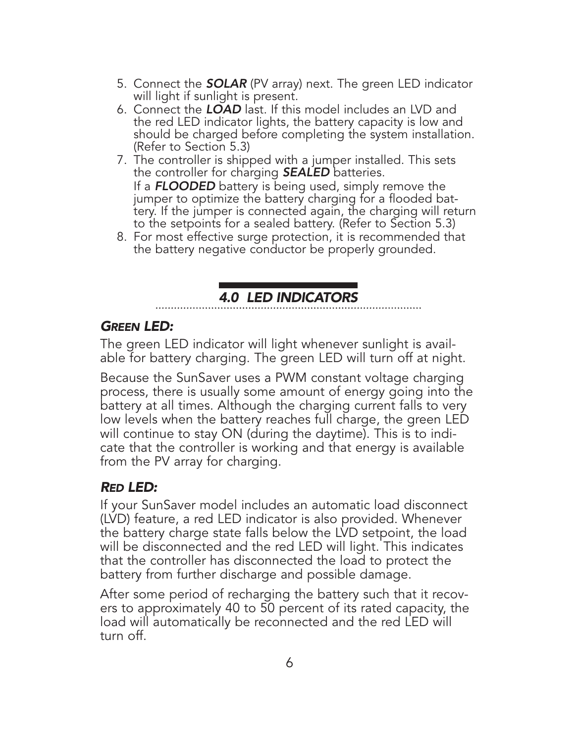- 5. Connect the **SOLAR** (PV array) next. The green LED indicator will light if sunlight is present.
- 6. Connect the LOAD last. If this model includes an LVD and the red LED indicator lights, the battery capacity is low and should be charged before completing the system installation. (Refer to Section 5.3)
- 7. The controller is shipped with a jumper installed. This sets the controller for charging **SEALED** batteries. If a **FLOODED** battery is being used, simply remove the jumper to optimize the battery charging for a flooded battery. If the jumper is connected again, the charging will return to the setpoints for a sealed battery. (Refer to Section 5.3)
- 8. For most effective surge protection, it is recommended that the battery negative conductor be properly grounded.

# 4.0 LED INDICATORS

#### GREEN LED:

The green LED indicator will light whenever sunlight is available for battery charging. The green LED will turn off at night.

Because the SunSaver uses a PWM constant voltage charging process, there is usually some amount of energy going into the battery at all times. Although the charging current falls to very low levels when the battery reaches full charge, the green LED will continue to stay ON (during the daytime). This is to indicate that the controller is working and that energy is available from the PV array for charging.

### RED LED:

If your SunSaver model includes an automatic load disconnect (LVD) feature, a red LED indicator is also provided. Whenever the battery charge state falls below the LVD setpoint, the load will be disconnected and the red LED will light. This indicates that the controller has disconnected the load to protect the battery from further discharge and possible damage.

After some period of recharging the battery such that it recovers to approximately 40 to 50 percent of its rated capacity, the load will automatically be reconnected and the red LED will turn off.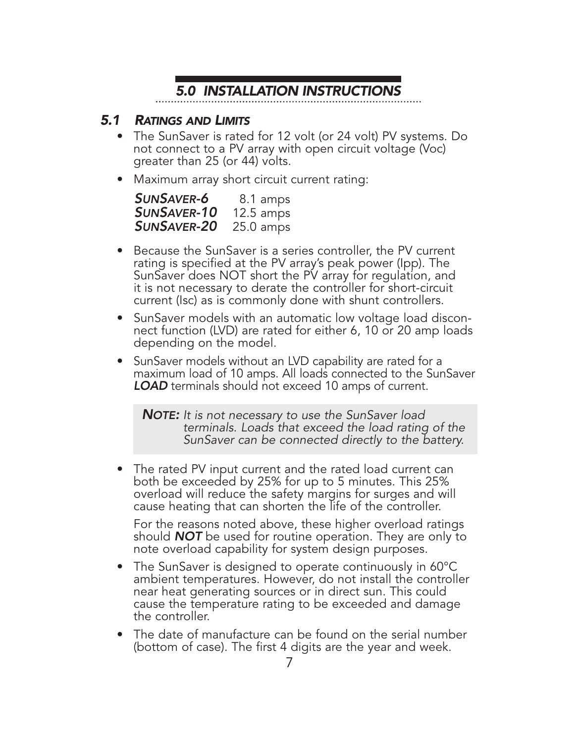# 5.0 INSTALLATION INSTRUCTIONS

#### 5.1 RATINGS AND LIMITS

- The SunSaver is rated for 12 volt (or 24 volt) PV systems. Do not connect to a PV array with open circuit voltage (Voc) greater than 25 (or 44) volts.
- Maximum array short circuit current rating:

| <b>SUNSAVER-6</b>  | 8.1 amps            |
|--------------------|---------------------|
| <b>SUNSAVER-10</b> | $12.5 \text{ amps}$ |
| <b>SUNSAVER-20</b> | $25.0 \text{ amps}$ |

- Because the SunSaver is a series controller, the PV current rating is specified at the PV array's peak power (Ipp). The SunSaver does NOT short the PV array for regulation, and it is not necessary to derate the controller for short-circuit current (Isc) as is commonly done with shunt controllers.
- SunSaver models with an automatic low voltage load disconnect function (LVD) are rated for either 6, 10 or 20 amp loads depending on the model.
- SunSaver models without an LVD capability are rated for a maximum load of 10 amps. All loads connected to the SunSaver **LOAD** terminals should not exceed 10 amps of current.

NOTE: It is not necessary to use the SunSaver load terminals. Loads that exceed the load rating of the SunSaver can be connected directly to the battery.

• The rated PV input current and the rated load current can both be exceeded by 25% for up to 5 minutes. This 25% overload will reduce the safety margins for surges and will cause heating that can shorten the life of the controller.

For the reasons noted above, these higher overload ratings should **NOT** be used for routine operation. They are only to note overload capability for system design purposes.

- The SunSaver is designed to operate continuously in 60°C ambient temperatures. However, do not install the controller near heat generating sources or in direct sun. This could cause the temperature rating to be exceeded and damage the controller.
- The date of manufacture can be found on the serial number (bottom of case). The first 4 digits are the year and week.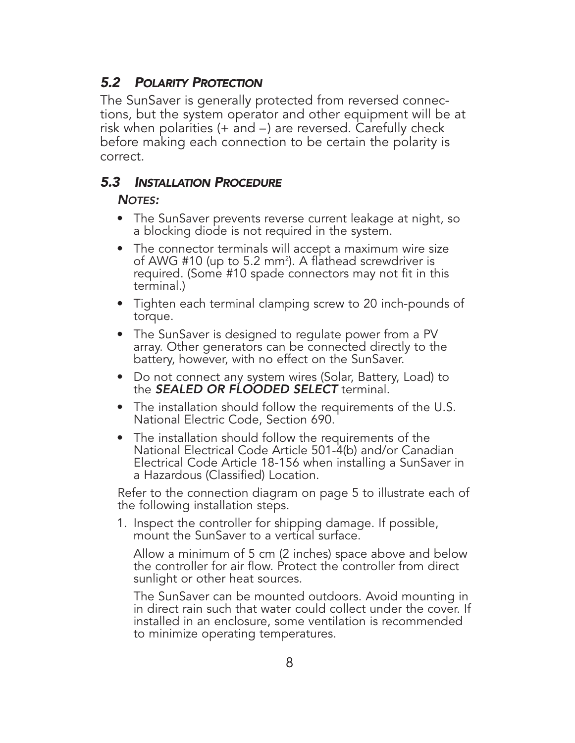### 5.2 POLARITY PROTECTION

The SunSaver is generally protected from reversed connections, but the system operator and other equipment will be at risk when polarities (+ and –) are reversed. Carefully check before making each connection to be certain the polarity is correct.

#### 5.3 INSTALLATION PROCEDURE

#### NOTES:

- The SunSaver prevents reverse current leakage at night, so a blocking diode is not required in the system.
- The connector terminals will accept a maximum wire size of AWG #10 (up to 5.2 mm²). A flathead screwdriver is required. (Some #10 spade connectors may not fit in this terminal.)
- Tighten each terminal clamping screw to 20 inch-pounds of torque.
- The SunSaver is designed to regulate power from a PV array. Other generators can be connected directly to the battery, however, with no effect on the SunSaver.
- Do not connect any system wires (Solar, Battery, Load) to the **SEALED OR FLOODED SELECT** terminal.
- The installation should follow the requirements of the U.S. National Electric Code, Section 690.
- The installation should follow the requirements of the National Electrical Code Article 501-4(b) and/or Canadian Electrical Code Article 18-156 when installing a SunSaver in a Hazardous (Classified) Location.

Refer to the connection diagram on page 5 to illustrate each of the following installation steps.

1. Inspect the controller for shipping damage. If possible, mount the SunSaver to a vertical surface.

Allow a minimum of 5 cm (2 inches) space above and below the controller for air flow. Protect the controller from direct sunlight or other heat sources.

The SunSaver can be mounted outdoors. Avoid mounting in in direct rain such that water could collect under the cover. If installed in an enclosure, some ventilation is recommended to minimize operating temperatures.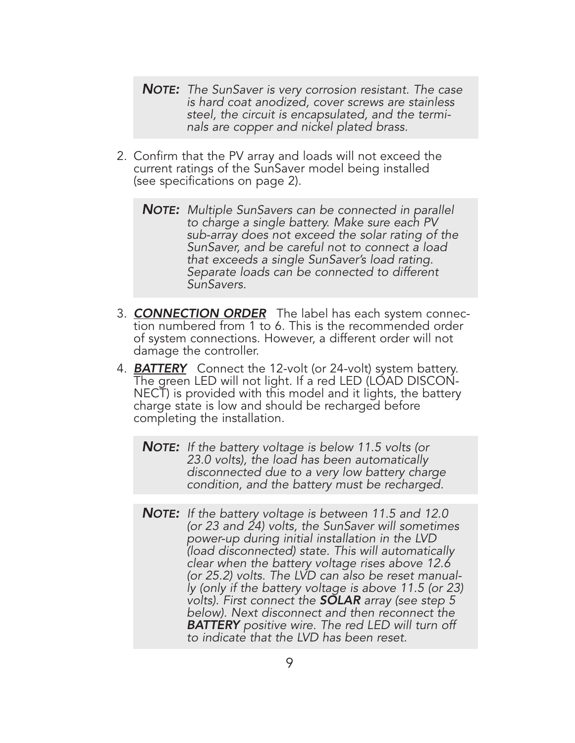- **NOTE:** The SunSaver is very corrosion resistant. The case is hard coat anodized, cover screws are stainless steel, the circuit is encapsulated, and the termi- nals are copper and nickel plated brass.
- 2. Confirm that the PV array and loads will not exceed the current ratings of the SunSaver model being installed (see specifications on page 2).
	- **NOTE:** Multiple SunSavers can be connected in parallel to charge a single battery. Make sure each PV sub-array does not exceed the solar rating of the SunSaver, and be careful not to connect a load that exceeds a single SunSaver's load rating. Separate loads can be connected to different SunSavers.
- 3. **CONNECTION ORDER** The label has each system connection numbered from 1 to 6. This is the recommended order of system connections. However, a different order will not damage the controller.
- 4. **BATTERY** Connect the 12-volt (or 24-volt) system battery.<br>The green LED will not light. If a red LED (LOAD DISCON-NECT) is provided with this model and it lights, the battery charge state is low and should be recharged before completing the installation.
	- **NOTE:** If the battery voltage is below 11.5 volts (or 23.0 volts), the load has been automatically disconnected due to a very low battery charge condition, and the battery must be recharged.
	- **NOTE:** If the battery voltage is between 11.5 and 12.0 (or 23 and 24) volts, the SunSaver will sometimes power-up during initial installation in the LVD (load disconnected) state. This will automatically clear when the battery voltage rises above 12.6 (or 25.2) volts. The LVD can also be reset manual ly (only if the battery voltage is above 11.5 (or 23) volts). First connect the **SOLAR** array (see step 5<br>below). Next disconnect and then reconnect the **BATTERY** positive wire. The red LED will turn off to indicate that the LVD has been reset.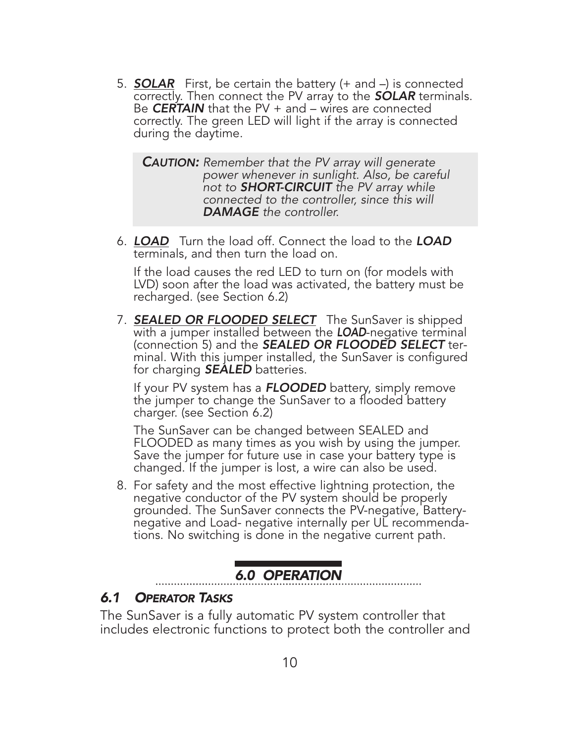5. **SOLAR** First, be certain the battery  $(+)$  and  $-$ ) is connected correctly. Then connect the PV array to the **SOLAR** terminals. Be **CERTAIN** that the PV  $+$  and  $-$  wires are connected correctly. The green LED will light if the array is connected during the daytime.

**CAUTION:** Remember that the PV array will generate power whenever in sunlight. Also, be careful not to **SHORT-CIRCUIT** the PV array while connected to the controller, since this will DAMAGE the controller.

6. LOAD Turn the load off. Connect the load to the LOAD terminals, and then turn the load on.

If the load causes the red LED to turn on (for models with LVD) soon after the load was activated, the battery must be recharged. (see Section 6.2)

7. **SEALED OR FLOODED SELECT** The SunSaver is shipped with a jumper installed between the **LOAD**-negative terminal (connection 5) and the **SEALED OR FLOODED SELECT** terminal. With this jumper installed, the SunSaver is configured for charging **SEALED** batteries.

If your PV system has a **FLOODED** battery, simply remove the jumper to change the SunSaver to a flooded battery charger. (see Section 6.2)

The SunSaver can be changed between SEALED and FLOODED as many times as you wish by using the jumper. Save the jumper for future use in case your battery type is changed. If the jumper is lost, a wire can also be used.

8. For safety and the most effective lightning protection, the negative conductor of the PV system should be properly grounded. The SunSaver connects the PV-negative, Batterynegative and Load- negative internally per UL recommendations. No switching is done in the negative current path.

# 6.0 OPERATION

### 6.1 OPERATOR TASKS

The SunSaver is a fully automatic PV system controller that includes electronic functions to protect both the controller and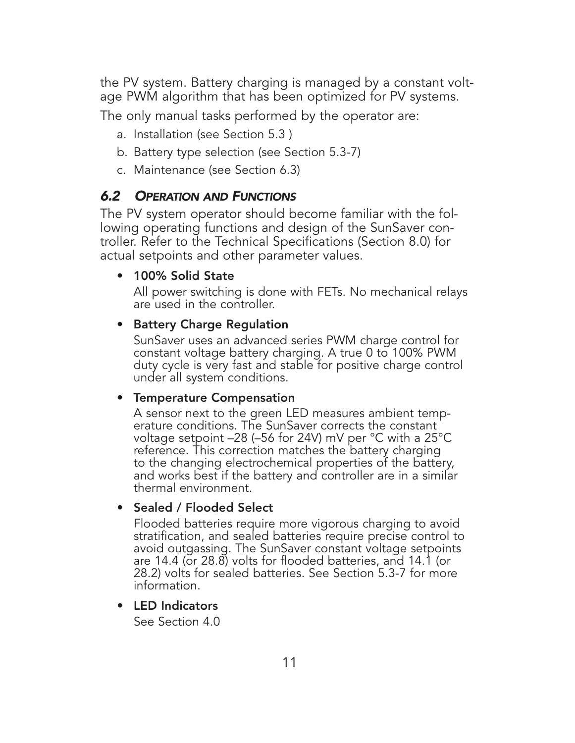the PV system. Battery charging is managed by a constant voltage PWM algorithm that has been optimized for PV systems.

The only manual tasks performed by the operator are:

- a. Installation (see Section 5.3 )
- b. Battery type selection (see Section 5.3-7)
- c. Maintenance (see Section 6.3)

## 6.2 OPERATION AND FUNCTIONS

The PV system operator should become familiar with the following operating functions and design of the SunSaver controller. Refer to the Technical Specifications (Section 8.0) for actual setpoints and other parameter values.

#### • 100% Solid State

All power switching is done with FETs. No mechanical relays are used in the controller.

#### • Battery Charge Regulation

SunSaver uses an advanced series PWM charge control for constant voltage battery charging. A true 0 to 100% PWM duty cycle is very fast and stable for positive charge control under all system conditions.

#### • Temperature Compensation

A sensor next to the green LED measures ambient temp- erature conditions. The SunSaver corrects the constant voltage setpoint –28 (–56 for 24V) mV per °C with a 25°C reference. This correction matches the battery charging to the changing electrochemical properties of the battery, and works best if the battery and controller are in a similar thermal environment.

### • Sealed / Flooded Select

Flooded batteries require more vigorous charging to avoid stratification, and sealed batteries require precise control to avoid outgassing. The SunSaver constant voltage setpoints are 14.4 (or 28.8) volts for flooded batteries, and 14.1 (or 28.2) volts for sealed batteries. See Section 5.3-7 for more information.

#### • LED Indicators

See Section 4.0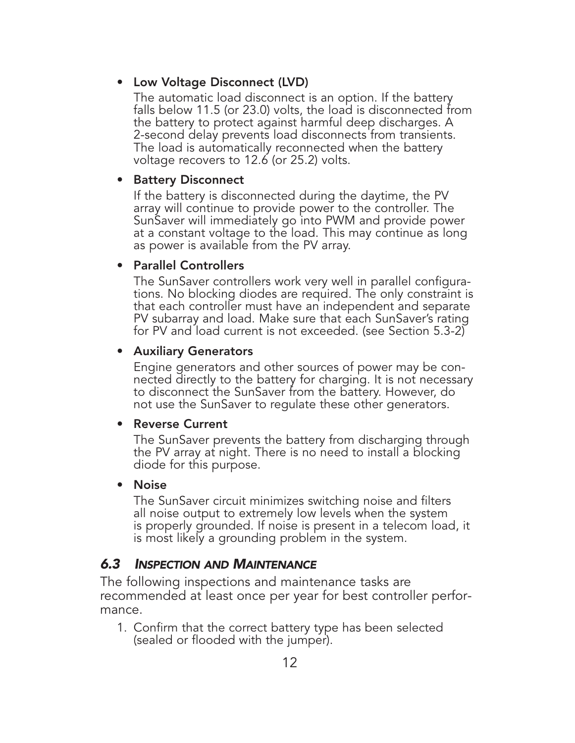#### • Low Voltage Disconnect (LVD)

The automatic load disconnect is an option. If the battery falls below 11.5 (or 23.0) volts, the load is disconnected from the battery to protect against harmful deep discharges. A 2-second delay prevents load disconnects from transients. The load is automatically reconnected when the battery voltage recovers to 12.6 (or 25.2) volts.

#### • Battery Disconnect

If the battery is disconnected during the daytime, the PV array will continue to provide power to the controller. The SunSaver will immediately go into PWM and provide power<br>at a constant voltage to the load. This may continue as long as power is available from the PV array.

#### • Parallel Controllers

The SunSaver controllers work very well in parallel configurations. No blocking diodes are required. The only constraint is that each controller must have an independent and separate PV subarray and load. Make sure that each SunSaver's rating for PV and load current is not exceeded. (see Section 5.3-2)

#### • Auxiliary Generators

Engine generators and other sources of power may be con-<br>nected directly to the battery for charging. It is not necessary to disconnect the SunSaver from the battery. However, do not use the SunSaver to regulate these other generators.

#### • Reverse Current

The SunSaver prevents the battery from discharging through the PV array at night. There is no need to install a blocking diode for this purpose.

#### • Noise

The SunSaver circuit minimizes switching noise and filters all noise output to extremely low levels when the system is properly grounded. If noise is present in a telecom load, it is most likely a grounding problem in the system.

### 6.3 INSPECTION AND MAINTENANCE

The following inspections and maintenance tasks are recommended at least once per year for best controller performance.

1. Confirm that the correct battery type has been selected (sealed or flooded with the jumper).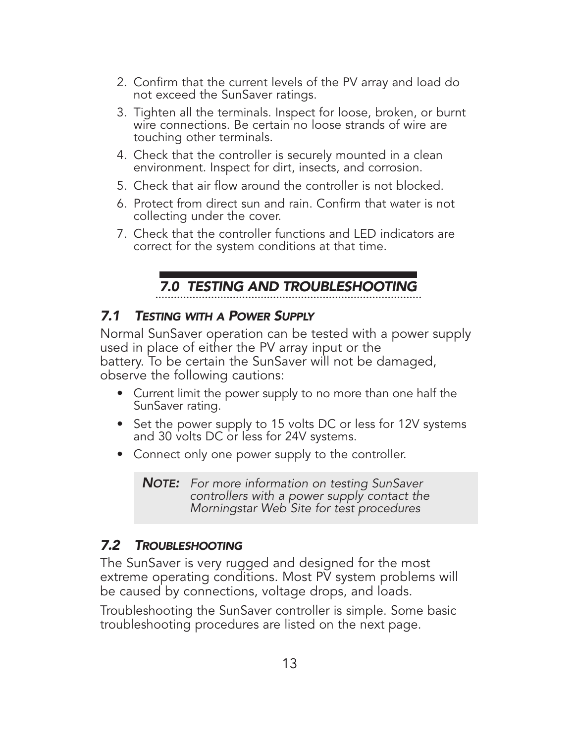- 2. Confirm that the current levels of the PV array and load do not exceed the SunSaver ratings.
- 3. Tighten all the terminals. Inspect for loose, broken, or burnt wire connections. Be certain no loose strands of wire are touching other terminals.
- 4. Check that the controller is securely mounted in a clean environment. Inspect for dirt, insects, and corrosion.
- 5. Check that air flow around the controller is not blocked.
- 6. Protect from direct sun and rain. Confirm that water is not collecting under the cover.
- 7. Check that the controller functions and LED indicators are correct for the system conditions at that time.

## 7.0 TESTING AND TROUBLESHOOTING

## 7.1 TESTING WITH A POWER SUPPLY

Normal SunSaver operation can be tested with a power supply used in place of either the PV array input or the battery. To be certain the SunSaver will not be damaged, observe the following cautions:

- Current limit the power supply to no more than one half the SunSaver rating.
- Set the power supply to 15 volts DC or less for 12V systems and 30 volts DC or less for 24V systems.
- Connect only one power supply to the controller.

**NOTE:** For more information on testing SunSaver controllers with a power supply contact the Morningstar Web Site for test procedures

## 7.2 TROUBLESHOOTING

The SunSaver is very rugged and designed for the most extreme operating conditions. Most PV system problems will be caused by connections, voltage drops, and loads.

Troubleshooting the SunSaver controller is simple. Some basic troubleshooting procedures are listed on the next page.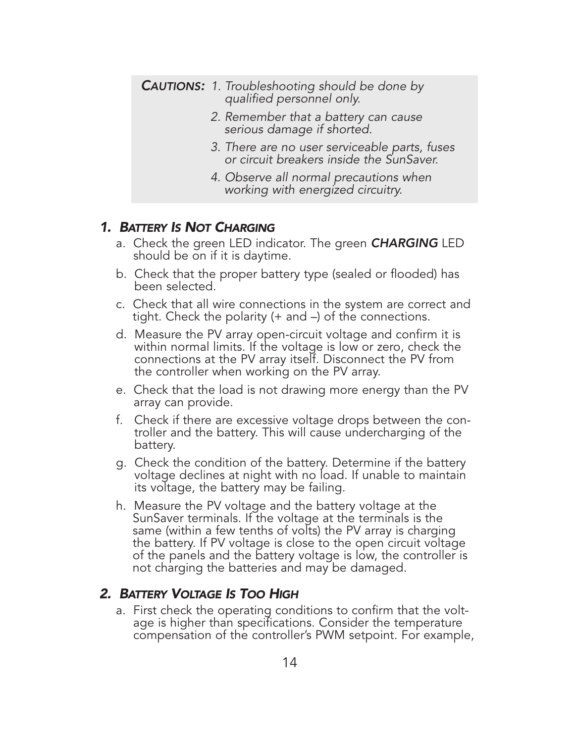|  | <b>CAUTIONS:</b> 1. Troubleshooting should be done by<br>qualified personnel only.        |
|--|-------------------------------------------------------------------------------------------|
|  | 2. Remember that a battery can cause<br>serious damage if shorted.                        |
|  | 3. There are no user serviceable parts, fuses<br>or circuit breakers inside the SunSaver. |
|  | 4. Observe all normal precautions when<br>working with energized circuitry.               |

#### 1. BATTERY IS NOT CHARGING

- a. Check the green LED indicator. The green **CHARGING** LED should be on if it is daytime.
- b. Check that the proper battery type (sealed or flooded) has been selected.
- c. Check that all wire connections in the system are correct and tight. Check the polarity (+ and –) of the connections.
- d. Measure the PV array open-circuit voltage and confirm it is within normal limits. If the voltage is low or zero, check the connections at the PV array itself. Disconnect the PV from the controller when working on the PV array.
- e. Check that the load is not drawing more energy than the PV array can provide.
- f. Check if there are excessive voltage drops between the controller and the battery. This will cause undercharging of the battery.
- g. Check the condition of the battery. Determine if the battery voltage declines at night with no load. If unable to maintain its voltage, the battery may be failing.
- h. Measure the PV voltage and the battery voltage at the SunSaver terminals. If the voltage at the terminals is the same (within a few tenths of volts) the PV array is charging the battery. If PV voltage is close to the open circuit voltage of the panels and the battery voltage is low, the controller is not charging the batteries and may be damaged.

#### 2. BATTERY VOLTAGE IS TOO HIGH

a. First check the operating conditions to confirm that the volt- age is higher than specifications. Consider the temperature compensation of the controller's PWM setpoint. For example,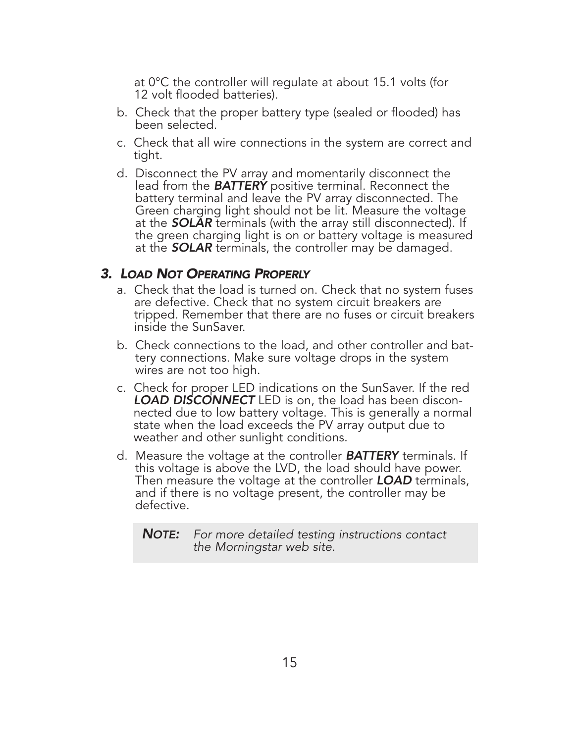at 0°C the controller will regulate at about 15.1 volts (for 12 volt flooded batteries).

- b. Check that the proper battery type (sealed or flooded) has been selected.
- c. Check that all wire connections in the system are correct and tight.
- d. Disconnect the PV array and momentarily disconnect the lead from the **BATTERY** positive terminal. Reconnect the battery terminal and leave the PV array disconnected. The Green charging light should not be lit. Measure the voltage at the **SOLAR** terminals (with the array still disconnected). If the green charging light is on or battery voltage is measured at the **SOLAR** terminals, the controller may be damaged.

#### 3. LOAD NOT OPERATING PROPERLY

- a. Check that the load is turned on. Check that no system fuses are defective. Check that no system circuit breakers are tripped. Remember that there are no fuses or circuit breakers inside the SunSaver.
- b. Check connections to the load, and other controller and battery connections. Make sure voltage drops in the system wires are not too high.
- c. Check for proper LED indications on the SunSaver. If the red **LOAD DISCONNECT** LED is on, the load has been disconnected due to low battery voltage. This is generally a normal state when the load exceeds the PV array output due to weather and other sunlight conditions.
- d. Measure the voltage at the controller **BATTERY** terminals. If<br>this voltage is above the LVD, the load should have power. Then measure the voltage at the controller **LOAD** terminals, and if there is no voltage present, the controller may be defective.

**NOTE:** For more detailed testing instructions contact the Morningstar web site.